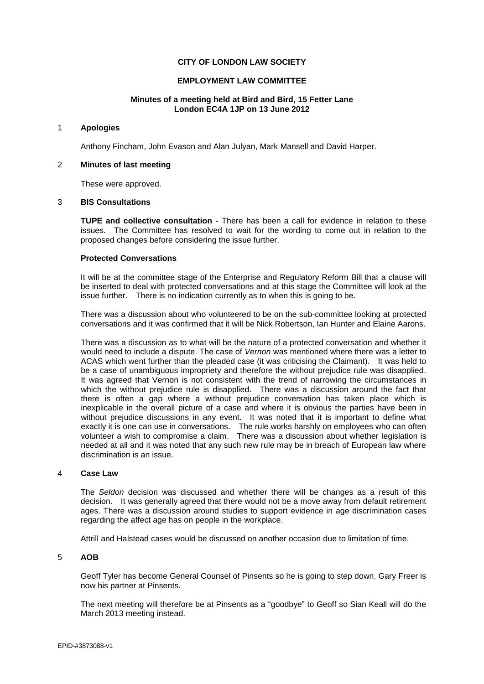# **CITY OF LONDON LAW SOCIETY**

## **EMPLOYMENT LAW COMMITTEE**

### **Minutes of a meeting held at Bird and Bird, 15 Fetter Lane London EC4A 1JP on 13 June 2012**

### 1 **Apologies**

Anthony Fincham, John Evason and Alan Julyan, Mark Mansell and David Harper.

#### 2 **Minutes of last meeting**

These were approved.

#### 3 **BIS Consultations**

**TUPE and collective consultation** - There has been a call for evidence in relation to these issues. The Committee has resolved to wait for the wording to come out in relation to the proposed changes before considering the issue further.

## **Protected Conversations**

It will be at the committee stage of the Enterprise and Regulatory Reform Bill that a clause will be inserted to deal with protected conversations and at this stage the Committee will look at the issue further. There is no indication currently as to when this is going to be.

There was a discussion about who volunteered to be on the sub-committee looking at protected conversations and it was confirmed that it will be Nick Robertson, Ian Hunter and Elaine Aarons.

There was a discussion as to what will be the nature of a protected conversation and whether it would need to include a dispute. The case of *Vernon* was mentioned where there was a letter to ACAS which went further than the pleaded case (it was criticising the Claimant). It was held to be a case of unambiguous impropriety and therefore the without prejudice rule was disapplied. It was agreed that Vernon is not consistent with the trend of narrowing the circumstances in which the without prejudice rule is disapplied. There was a discussion around the fact that there is often a gap where a without prejudice conversation has taken place which is inexplicable in the overall picture of a case and where it is obvious the parties have been in without prejudice discussions in any event. It was noted that it is important to define what exactly it is one can use in conversations. The rule works harshly on employees who can often volunteer a wish to compromise a claim. There was a discussion about whether legislation is needed at all and it was noted that any such new rule may be in breach of European law where discrimination is an issue.

#### 4 **Case Law**

The *Seldon* decision was discussed and whether there will be changes as a result of this decision. It was generally agreed that there would not be a move away from default retirement ages. There was a discussion around studies to support evidence in age discrimination cases regarding the affect age has on people in the workplace.

Attrill and Halstead cases would be discussed on another occasion due to limitation of time.

# 5 **AOB**

Geoff Tyler has become General Counsel of Pinsents so he is going to step down. Gary Freer is now his partner at Pinsents.

The next meeting will therefore be at Pinsents as a "goodbye" to Geoff so Sian Keall will do the March 2013 meeting instead.